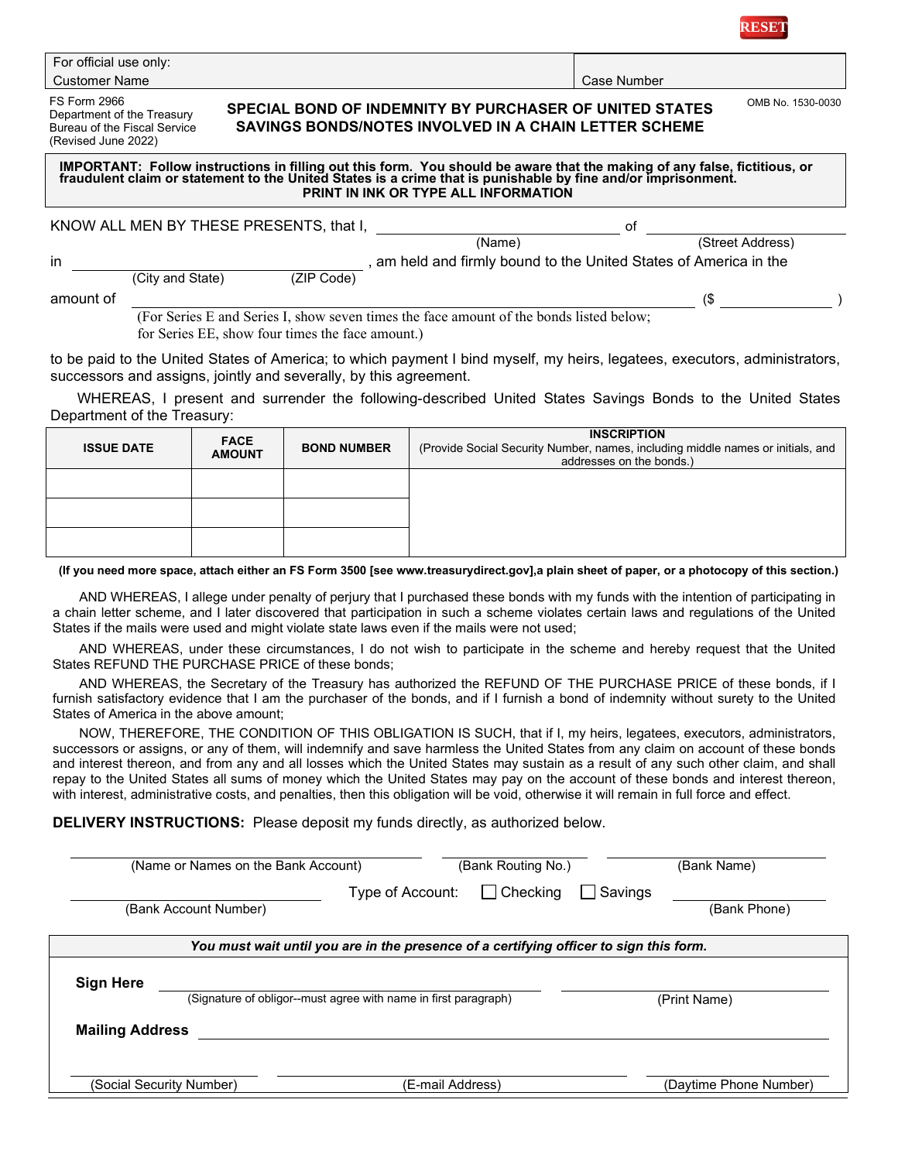

For official use only: Customer Name Customer Name Customer Name Customer Name Customer Name Customer Name Customer Name Customer Name Customer Name Customer Name Customer Name Customer Name Customer Name Customer Name Customer Name Customer Nam

FS Form 2966 Department of the Treasury Bureau of the Fiscal Service (Revised June 2022)

**SPECIAL BOND OF INDEMNITY BY PURCHASER OF UNITED STATES SAVINGS BONDS/NOTES INVOLVED IN A CHAIN LETTER SCHEME**

OMB No. 1530-0030

## IMPORTANT: Follow instructions in filling out this form. You should be aware that the making of any false, fictitious, or<br>fraudulent claim or statement to the United States is a crime that is punishable by fine and/or impr  **PRINT IN INK OR TYPE ALL INFORMATION**

|           | KNOW ALL MEN BY THESE PRESENTS, that I,                                                 |            | 0t                                                              |                  |  |
|-----------|-----------------------------------------------------------------------------------------|------------|-----------------------------------------------------------------|------------------|--|
|           |                                                                                         |            | (Name)                                                          | (Street Address) |  |
| in        |                                                                                         |            | am held and firmly bound to the United States of America in the |                  |  |
|           | (City and State)                                                                        | (ZIP Code) |                                                                 |                  |  |
| amount of |                                                                                         |            |                                                                 |                  |  |
|           | (For Series E and Series I, show seven times the face amount of the bonds listed below; |            |                                                                 |                  |  |

for Series EE, show four times the face amount.)

to be paid to the United States of America; to which payment I bind myself, my heirs, legatees, executors, administrators, successors and assigns, jointly and severally, by this agreement.

WHEREAS, I present and surrender the following-described United States Savings Bonds to the United States Department of the Treasury:

| <b>ISSUE DATE</b> | <b>FACE</b><br><b>AMOUNT</b> | <b>BOND NUMBER</b> | <b>INSCRIPTION</b><br>(Provide Social Security Number, names, including middle names or initials, and<br>addresses on the bonds.) |
|-------------------|------------------------------|--------------------|-----------------------------------------------------------------------------------------------------------------------------------|
|                   |                              |                    |                                                                                                                                   |
|                   |                              |                    |                                                                                                                                   |
|                   |                              |                    |                                                                                                                                   |

**(If you need more space, attach either an FS Form 3500 [see www.treasurydirect.gov],a plain sheet of paper, or a photocopy of this section.)**

AND WHEREAS, I allege under penalty of perjury that I purchased these bonds with my funds with the intention of participating in a chain letter scheme, and I later discovered that participation in such a scheme violates certain laws and regulations of the United States if the mails were used and might violate state laws even if the mails were not used;

AND WHEREAS, under these circumstances, I do not wish to participate in the scheme and hereby request that the United States REFUND THE PURCHASE PRICE of these bonds;

AND WHEREAS, the Secretary of the Treasury has authorized the REFUND OF THE PURCHASE PRICE of these bonds, if I furnish satisfactory evidence that I am the purchaser of the bonds, and if I furnish a bond of indemnity without surety to the United States of America in the above amount;

NOW, THEREFORE, THE CONDITION OF THIS OBLIGATION IS SUCH, that if I, my heirs, legatees, executors, administrators, successors or assigns, or any of them, will indemnify and save harmless the United States from any claim on account of these bonds and interest thereon, and from any and all losses which the United States may sustain as a result of any such other claim, and shall repay to the United States all sums of money which the United States may pay on the account of these bonds and interest thereon, with interest, administrative costs, and penalties, then this obligation will be void, otherwise it will remain in full force and effect.

**DELIVERY INSTRUCTIONS:** Please deposit my funds directly, as authorized below.

| (Name or Names on the Bank Account) |                                                                                        | (Bank Routing No.) |                | (Bank Name)            |  |
|-------------------------------------|----------------------------------------------------------------------------------------|--------------------|----------------|------------------------|--|
| (Bank Account Number)               | Type of Account:                                                                       | Checking           | $\Box$ Savings | (Bank Phone)           |  |
|                                     | You must wait until you are in the presence of a certifying officer to sign this form. |                    |                |                        |  |
| <b>Sign Here</b>                    | (Signature of obligor--must agree with name in first paragraph)                        |                    |                | (Print Name)           |  |
| <b>Mailing Address</b>              |                                                                                        |                    |                |                        |  |
|                                     |                                                                                        |                    |                |                        |  |
| (Social Security Number)            |                                                                                        | (E-mail Address)   |                | (Daytime Phone Number) |  |